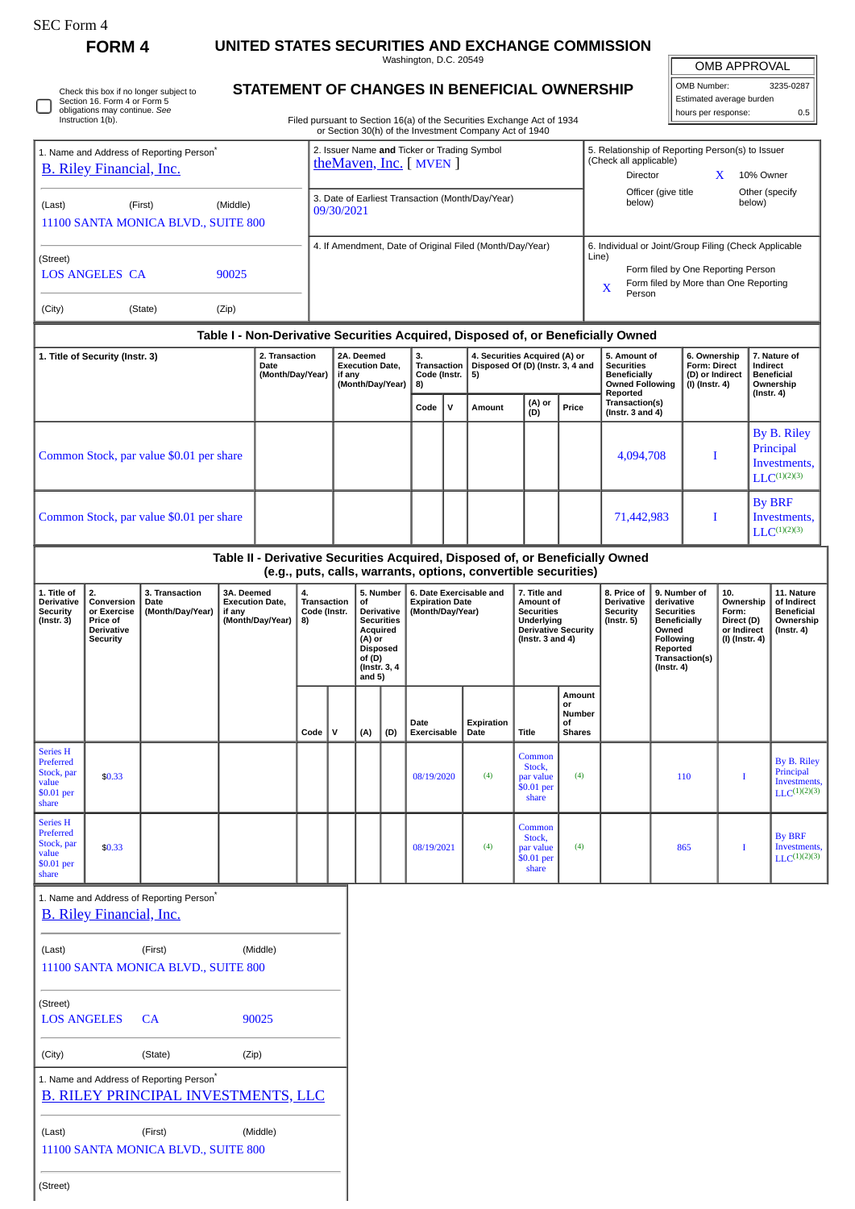□

# **FORM 4 UNITED STATES SECURITIES AND EXCHANGE COMMISSION**

Washington, D.C. 20549

OMB APPROVAL li

| OMB Number:              | 3235-0287 |
|--------------------------|-----------|
| Estimated average burden |           |
| hours per response:      | 0.5       |
|                          |           |

Check this box if no longer subject to Section 16. Form 4 or Form 5 obligations may continue. *See* Instruction 1(b).

## **STATEMENT OF CHANGES IN BENEFICIAL OWNERSHIP**

Filed pursuant to Section 16(a) of the Securities Exchange Act of 1934 or Section 30(h) of the Investment Company Act of 1940

| 1. Name and Address of Reporting Person <sup>®</sup><br><b>B.</b> Riley Financial, Inc. |                                                                                     |                                                                                                    |                      |                                            |                                                                    | 2. Issuer Name and Ticker or Trading Symbol<br>theMaven, Inc. [ MVEN ] |                                                                                                                                                                                                            |     |                                                                         |                                                                                                                     |                                                                |                                                                                                |                                                           | 5. Relationship of Reporting Person(s) to Issuer<br>(Check all applicable)<br>Director<br>10% Owner<br>X                                                                                                          |  |                                                                                 |   |                                                                     |  |
|-----------------------------------------------------------------------------------------|-------------------------------------------------------------------------------------|----------------------------------------------------------------------------------------------------|----------------------|--------------------------------------------|--------------------------------------------------------------------|------------------------------------------------------------------------|------------------------------------------------------------------------------------------------------------------------------------------------------------------------------------------------------------|-----|-------------------------------------------------------------------------|---------------------------------------------------------------------------------------------------------------------|----------------------------------------------------------------|------------------------------------------------------------------------------------------------|-----------------------------------------------------------|-------------------------------------------------------------------------------------------------------------------------------------------------------------------------------------------------------------------|--|---------------------------------------------------------------------------------|---|---------------------------------------------------------------------|--|
| (First)<br>(Middle)<br>(Last)<br>11100 SANTA MONICA BLVD., SUITE 800                    |                                                                                     |                                                                                                    |                      |                                            | 3. Date of Earliest Transaction (Month/Day/Year)<br>09/30/2021     |                                                                        |                                                                                                                                                                                                            |     |                                                                         |                                                                                                                     |                                                                |                                                                                                | Other (specify<br>Officer (give title<br>below)<br>below) |                                                                                                                                                                                                                   |  |                                                                                 |   |                                                                     |  |
| (Street)<br><b>LOS ANGELES CA</b><br>90025                                              |                                                                                     |                                                                                                    |                      |                                            |                                                                    | 4. If Amendment, Date of Original Filed (Month/Day/Year)               |                                                                                                                                                                                                            |     |                                                                         |                                                                                                                     |                                                                |                                                                                                |                                                           | 6. Individual or Joint/Group Filing (Check Applicable<br>Line)<br>Form filed by One Reporting Person<br>Form filed by More than One Reporting<br>X                                                                |  |                                                                                 |   |                                                                     |  |
| (City)<br>(State)<br>(Zip)                                                              |                                                                                     |                                                                                                    |                      |                                            |                                                                    |                                                                        |                                                                                                                                                                                                            |     |                                                                         |                                                                                                                     |                                                                |                                                                                                | Person                                                    |                                                                                                                                                                                                                   |  |                                                                                 |   |                                                                     |  |
|                                                                                         |                                                                                     |                                                                                                    |                      |                                            |                                                                    |                                                                        |                                                                                                                                                                                                            |     |                                                                         |                                                                                                                     |                                                                |                                                                                                |                                                           | Table I - Non-Derivative Securities Acquired, Disposed of, or Beneficially Owned                                                                                                                                  |  |                                                                                 |   |                                                                     |  |
| 2. Transaction<br>1. Title of Security (Instr. 3)<br>Date<br>(Month/Day/Year)           |                                                                                     |                                                                                                    |                      |                                            | 2A. Deemed<br><b>Execution Date,</b><br>if any<br>(Month/Day/Year) |                                                                        | 3.<br><b>Transaction</b><br>Code (Instr.<br>8)                                                                                                                                                             |     | 4. Securities Acquired (A) or<br>Disposed Of (D) (Instr. 3, 4 and<br>5) |                                                                                                                     |                                                                | 5. Amount of<br><b>Securities</b><br><b>Beneficially</b><br><b>Owned Following</b><br>Reported |                                                           | 6. Ownership<br><b>Form: Direct</b><br>(D) or Indirect<br>(I) (Instr. 4)                                                                                                                                          |  | 7. Nature of<br>Indirect<br><b>Beneficial</b><br>Ownership<br>$($ lnstr. 4 $)$  |   |                                                                     |  |
|                                                                                         |                                                                                     |                                                                                                    |                      |                                            |                                                                    |                                                                        |                                                                                                                                                                                                            |     | Code                                                                    | v                                                                                                                   | Amount                                                         | (A) or<br>(D)                                                                                  | Price                                                     | Transaction(s)<br>(Instr. $3$ and $4$ )                                                                                                                                                                           |  |                                                                                 |   |                                                                     |  |
| Common Stock, par value \$0.01 per share                                                |                                                                                     |                                                                                                    |                      |                                            |                                                                    |                                                                        |                                                                                                                                                                                                            |     |                                                                         |                                                                                                                     |                                                                |                                                                                                |                                                           | 4,094,708                                                                                                                                                                                                         |  | I                                                                               |   | By B. Riley<br>Principal<br>Investments,<br>$LLC^{(1)(2)(3)}$       |  |
|                                                                                         |                                                                                     | Common Stock, par value \$0.01 per share                                                           |                      |                                            |                                                                    |                                                                        |                                                                                                                                                                                                            |     |                                                                         |                                                                                                                     |                                                                |                                                                                                |                                                           | 71,442,983                                                                                                                                                                                                        |  |                                                                                 | I | <b>By BRF</b><br>Investments,<br>$LLC^{(1)(2)(3)}$                  |  |
|                                                                                         |                                                                                     |                                                                                                    |                      |                                            |                                                                    |                                                                        |                                                                                                                                                                                                            |     |                                                                         |                                                                                                                     | (e.g., puts, calls, warrants, options, convertible securities) |                                                                                                |                                                           | Table II - Derivative Securities Acquired, Disposed of, or Beneficially Owned                                                                                                                                     |  |                                                                                 |   |                                                                     |  |
| 1. Title of<br>Derivative<br><b>Security</b><br>$($ Instr. 3 $)$                        | 2.<br>Conversion<br>or Exercise<br>Price of<br><b>Derivative</b><br><b>Security</b> | 3. Transaction<br>Date<br>(Month/Day/Year)                                                         | 3A. Deemed<br>if any | <b>Execution Date,</b><br>(Month/Day/Year) | 4.<br>Transaction<br>Code (Instr.<br>8)                            |                                                                        | 5. Number<br>6. Date Exercisable and<br>of<br><b>Expiration Date</b><br>(Month/Day/Year)<br>Derivative<br><b>Securities</b><br>Acquired<br>(A) or<br><b>Disposed</b><br>of (D)<br>(Instr. 3, 4<br>and $5)$ |     |                                                                         | 7. Title and<br>Amount of<br><b>Securities</b><br>Underlying<br><b>Derivative Security</b><br>(Instr. $3$ and $4$ ) |                                                                | 8. Price of<br>Derivative<br><b>Security</b><br>$($ Instr. 5 $)$<br>Owned                      |                                                           | 10.<br>9. Number of<br>derivative<br>Ownership<br><b>Securities</b><br>Form:<br><b>Beneficially</b><br>Direct (D)<br>or Indirect<br>Following<br>(I) (Instr. 4)<br>Reported<br>Transaction(s)<br>$($ Instr. 4 $)$ |  | 11. Nature<br>of Indirect<br><b>Beneficial</b><br>Ownership<br>$($ Instr. 4 $)$ |   |                                                                     |  |
|                                                                                         |                                                                                     |                                                                                                    |                      |                                            | Code                                                               | v                                                                      | (A)                                                                                                                                                                                                        | (D) | Date<br>Exercisable                                                     |                                                                                                                     | Expiration<br>Date                                             | Title                                                                                          | Amount<br>or<br>Number<br><b>of</b><br><b>Shares</b>      |                                                                                                                                                                                                                   |  |                                                                                 |   |                                                                     |  |
| <b>Series H</b><br>Preferred<br>Stock, par<br>value<br>\$0.01 per<br>share              | \$0.33                                                                              |                                                                                                    |                      |                                            |                                                                    |                                                                        |                                                                                                                                                                                                            |     | 08/19/2020                                                              |                                                                                                                     | (4)                                                            | Common<br>Stock,<br>par value<br>\$0.01 per<br>share                                           | (4)                                                       |                                                                                                                                                                                                                   |  | 110                                                                             | I | <b>By B. Riley</b><br>Principal<br>Investments<br>$LLC^{(1)(2)(3)}$ |  |
| <b>Series H</b><br>Preferred<br>Stock, par<br>value<br>\$0.01 per<br>share              | \$0.33                                                                              |                                                                                                    |                      |                                            |                                                                    |                                                                        |                                                                                                                                                                                                            |     | 08/19/2021                                                              |                                                                                                                     | (4)                                                            | Common<br>Stock,<br>par value<br>\$0.01 per<br>share                                           | (4)                                                       |                                                                                                                                                                                                                   |  | 865                                                                             | I | <b>By BRF</b><br>Investments,<br>$LLC^{(1)(2)(3)}$                  |  |
|                                                                                         | <b>B. Riley Financial, Inc.</b>                                                     | 1. Name and Address of Reporting Person <sup>®</sup>                                               |                      |                                            |                                                                    |                                                                        |                                                                                                                                                                                                            |     |                                                                         |                                                                                                                     |                                                                |                                                                                                |                                                           |                                                                                                                                                                                                                   |  |                                                                                 |   |                                                                     |  |
| (Last)                                                                                  |                                                                                     | (First)<br>11100 SANTA MONICA BLVD., SUITE 800                                                     |                      | (Middle)                                   |                                                                    |                                                                        |                                                                                                                                                                                                            |     |                                                                         |                                                                                                                     |                                                                |                                                                                                |                                                           |                                                                                                                                                                                                                   |  |                                                                                 |   |                                                                     |  |
| (Street)<br><b>LOS ANGELES</b><br>CA<br>90025                                           |                                                                                     |                                                                                                    |                      |                                            |                                                                    |                                                                        |                                                                                                                                                                                                            |     |                                                                         |                                                                                                                     |                                                                |                                                                                                |                                                           |                                                                                                                                                                                                                   |  |                                                                                 |   |                                                                     |  |
| (City)                                                                                  |                                                                                     | (State)                                                                                            | (Zip)                |                                            |                                                                    |                                                                        |                                                                                                                                                                                                            |     |                                                                         |                                                                                                                     |                                                                |                                                                                                |                                                           |                                                                                                                                                                                                                   |  |                                                                                 |   |                                                                     |  |
|                                                                                         |                                                                                     | 1. Name and Address of Reporting Person <sup>*</sup><br><b>B. RILEY PRINCIPAL INVESTMENTS, LLC</b> |                      |                                            |                                                                    |                                                                        |                                                                                                                                                                                                            |     |                                                                         |                                                                                                                     |                                                                |                                                                                                |                                                           |                                                                                                                                                                                                                   |  |                                                                                 |   |                                                                     |  |
| (Last)                                                                                  |                                                                                     | (First)                                                                                            |                      | (Middle)                                   |                                                                    |                                                                        |                                                                                                                                                                                                            |     |                                                                         |                                                                                                                     |                                                                |                                                                                                |                                                           |                                                                                                                                                                                                                   |  |                                                                                 |   |                                                                     |  |

11100 SANTA MONICA BLVD., SUITE 800